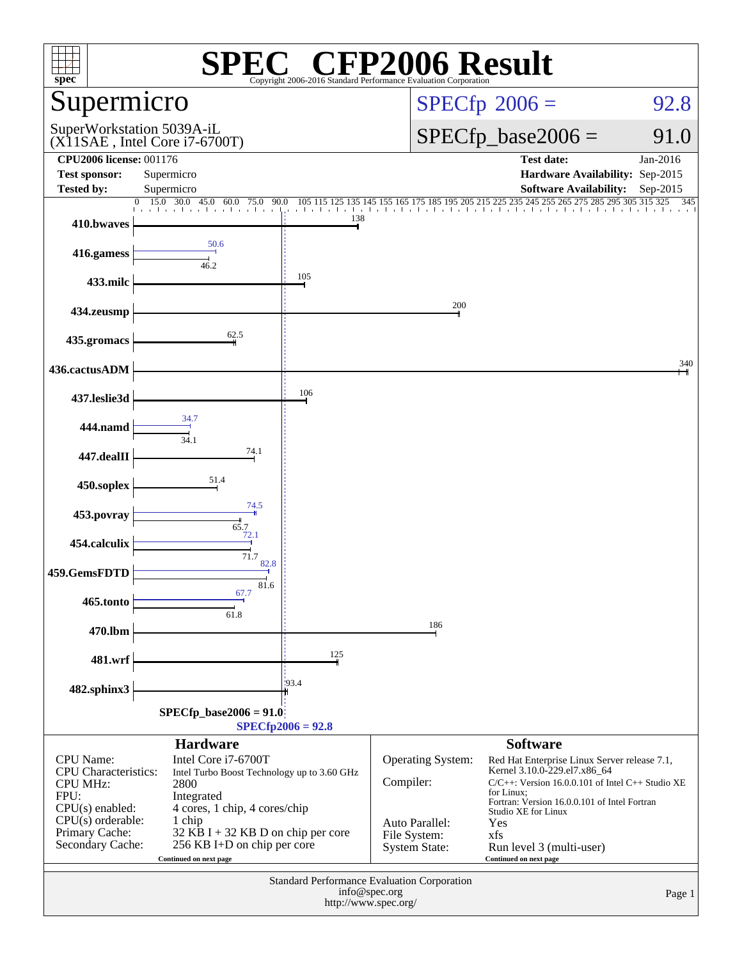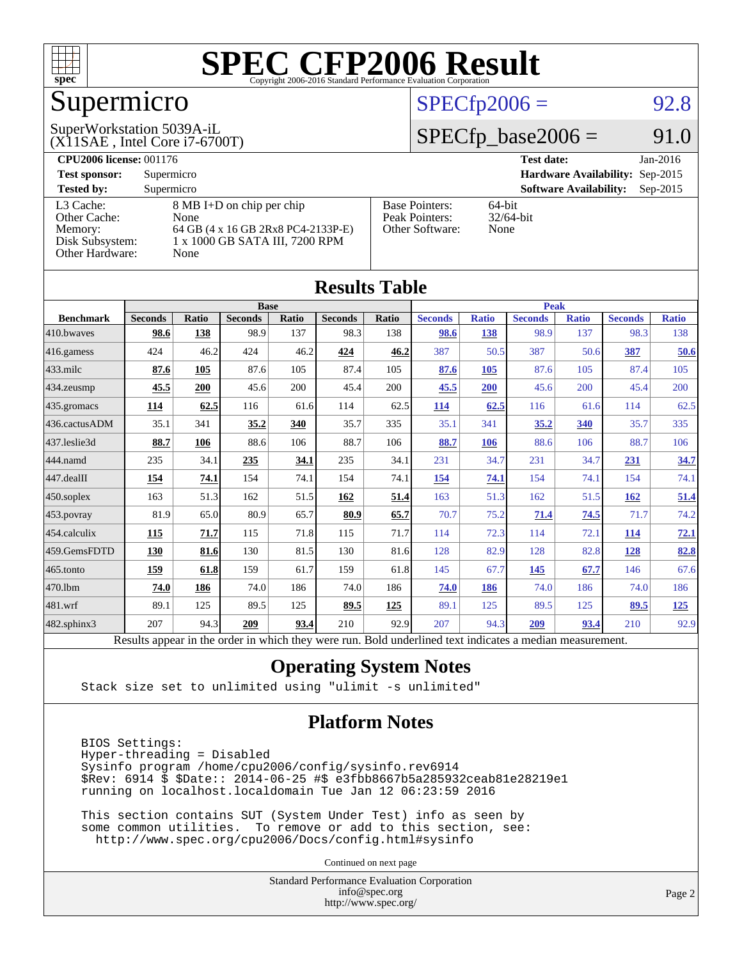

## Supermicro

#### $SPECTp2006 = 92.8$

#### (X11SAE , Intel Core i7-6700T) SuperWorkstation 5039A-iL

#### $SPECfp\_base2006 = 91.0$

| <b>CPU2006 license: 001176</b> |                                    |                       | <b>Test date:</b><br>$Jan-2016$             |
|--------------------------------|------------------------------------|-----------------------|---------------------------------------------|
| <b>Test sponsor:</b>           | Supermicro                         |                       | Hardware Availability: Sep-2015             |
| <b>Tested by:</b>              | Supermicro                         |                       | <b>Software Availability:</b><br>$Sep-2015$ |
| L3 Cache:                      | 8 MB I+D on chip per chip          | <b>Base Pointers:</b> | $64$ -bit                                   |
| Other Cache:                   | None                               | Peak Pointers:        | $32/64$ -bit                                |
| Memory:                        | 64 GB (4 x 16 GB 2Rx8 PC4-2133P-E) | Other Software:       | None                                        |
| Disk Subsystem:                | 1 x 1000 GB SATA III, 7200 RPM     |                       |                                             |
| Other Hardware:                | None                               |                       |                                             |

| <b>Results Table</b> |                                                                                                          |              |                |       |                |             |                |              |                |              |                |              |
|----------------------|----------------------------------------------------------------------------------------------------------|--------------|----------------|-------|----------------|-------------|----------------|--------------|----------------|--------------|----------------|--------------|
|                      | <b>Base</b>                                                                                              |              |                |       |                | <b>Peak</b> |                |              |                |              |                |              |
| <b>Benchmark</b>     | <b>Seconds</b>                                                                                           | <b>Ratio</b> | <b>Seconds</b> | Ratio | <b>Seconds</b> | Ratio       | <b>Seconds</b> | <b>Ratio</b> | <b>Seconds</b> | <b>Ratio</b> | <b>Seconds</b> | <b>Ratio</b> |
| 410.bwayes           | 98.6                                                                                                     | 138          | 98.9           | 137   | 98.3           | 138         | 98.6           | 138          | 98.9           | 137          | 98.3           | 138          |
| 416.gamess           | 424                                                                                                      | 46.2         | 424            | 46.2  | 424            | 46.2        | 387            | 50.5         | 387            | 50.6         | 387            | 50.6         |
| $433$ .milc          | 87.6                                                                                                     | 105          | 87.6           | 105   | 87.4           | 105         | 87.6           | 105          | 87.6           | 105          | 87.4           | 105          |
| 434.zeusmp           | 45.5                                                                                                     | 200          | 45.6           | 200   | 45.4           | 200         | 45.5           | 200          | 45.6           | 200          | 45.4           | 200          |
| 435.gromacs          | 114                                                                                                      | 62.5         | 116            | 61.6  | 114            | 62.5        | 114            | 62.5         | 116            | 61.6         | 114            | 62.5         |
| 436.cactusADM        | 35.1                                                                                                     | 341          | 35.2           | 340   | 35.7           | 335         | 35.1           | 341          | 35.2           | 340          | 35.7           | 335          |
| 437.leslie3d         | 88.7                                                                                                     | 106          | 88.6           | 106   | 88.7           | 106         | 88.7           | 106          | 88.6           | 106          | 88.7           | 106          |
| 444.namd             | 235                                                                                                      | 34.1         | 235            | 34.1  | 235            | 34.1        | 231            | 34.7         | 231            | 34.7         | 231            | 34.7         |
| 447.dealII           | 154                                                                                                      | 74.1         | 154            | 74.1  | 154            | 74.1        | 154            | 74.1         | 154            | 74.1         | 154            | 74.1         |
| $450$ .soplex        | 163                                                                                                      | 51.3         | 162            | 51.5  | 162            | 51.4        | 163            | 51.3         | 162            | 51.5         | 162            | 51.4         |
| 453.povray           | 81.9                                                                                                     | 65.0         | 80.9           | 65.7  | 80.9           | 65.7        | 70.7           | 75.2         | 71.4           | 74.5         | 71.7           | 74.2         |
| 454.calculix         | 115                                                                                                      | 71.7         | 115            | 71.8  | 115            | 71.7        | 114            | 72.3         | 114            | 72.1         | 114            | 72.1         |
| 459.GemsFDTD         | 130                                                                                                      | 81.6         | 130            | 81.5  | 130            | 81.6        | 128            | 82.9         | 128            | 82.8         | 128            | 82.8         |
| 465.tonto            | 159                                                                                                      | 61.8         | 159            | 61.7  | 159            | 61.8        | 145            | 67.7         | 145            | 67.7         | 146            | 67.6         |
| 470.1bm              | 74.0                                                                                                     | 186          | 74.0           | 186   | 74.0           | 186         | 74.0           | 186          | 74.0           | 186          | 74.0           | 186          |
| 481.wrf              | 89.1                                                                                                     | 125          | 89.5           | 125   | 89.5           | 125         | 89.1           | 125          | 89.5           | 125          | 89.5           | <u>125</u>   |
| $482$ .sphinx $3$    | 207                                                                                                      | 94.3         | 209            | 93.4  | 210            | 92.9        | 207            | 94.3         | 209            | 93.4         | 210            | 92.9         |
|                      | Results appear in the order in which they were run. Bold underlined text indicates a median measurement. |              |                |       |                |             |                |              |                |              |                |              |

#### **[Operating System Notes](http://www.spec.org/auto/cpu2006/Docs/result-fields.html#OperatingSystemNotes)**

Stack size set to unlimited using "ulimit -s unlimited"

#### **[Platform Notes](http://www.spec.org/auto/cpu2006/Docs/result-fields.html#PlatformNotes)**

 BIOS Settings: Hyper-threading = Disabled Sysinfo program /home/cpu2006/config/sysinfo.rev6914 \$Rev: 6914 \$ \$Date:: 2014-06-25 #\$ e3fbb8667b5a285932ceab81e28219e1 running on localhost.localdomain Tue Jan 12 06:23:59 2016

 This section contains SUT (System Under Test) info as seen by some common utilities. To remove or add to this section, see: <http://www.spec.org/cpu2006/Docs/config.html#sysinfo>

Continued on next page

Standard Performance Evaluation Corporation [info@spec.org](mailto:info@spec.org) <http://www.spec.org/>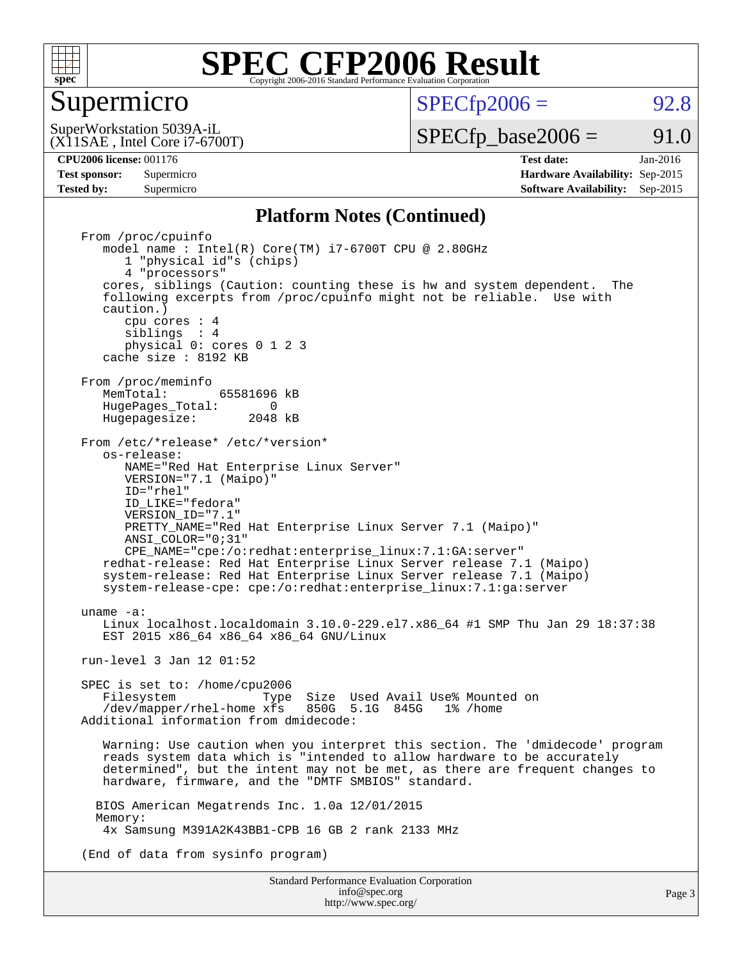

#### Supermicro

 $SPECTp2006 = 92.8$ 

(X11SAE , Intel Core i7-6700T) SuperWorkstation 5039A-iL

 $SPECTp\_base2006 = 91.0$ 

**[CPU2006 license:](http://www.spec.org/auto/cpu2006/Docs/result-fields.html#CPU2006license)** 001176 **[Test date:](http://www.spec.org/auto/cpu2006/Docs/result-fields.html#Testdate)** Jan-2016

**[Test sponsor:](http://www.spec.org/auto/cpu2006/Docs/result-fields.html#Testsponsor)** Supermicro **[Hardware Availability:](http://www.spec.org/auto/cpu2006/Docs/result-fields.html#HardwareAvailability)** Sep-2015 **[Tested by:](http://www.spec.org/auto/cpu2006/Docs/result-fields.html#Testedby)** Supermicro **Supermicro [Software Availability:](http://www.spec.org/auto/cpu2006/Docs/result-fields.html#SoftwareAvailability)** Sep-2015

#### **[Platform Notes \(Continued\)](http://www.spec.org/auto/cpu2006/Docs/result-fields.html#PlatformNotes)**

Standard Performance Evaluation Corporation From /proc/cpuinfo model name : Intel(R) Core(TM) i7-6700T CPU @ 2.80GHz 1 "physical id"s (chips) 4 "processors" cores, siblings (Caution: counting these is hw and system dependent. The following excerpts from /proc/cpuinfo might not be reliable. Use with caution.) cpu cores : 4 siblings : 4 physical 0: cores 0 1 2 3 cache size : 8192 KB From /proc/meminfo<br>MemTotal: 65581696 kB HugePages\_Total: 0<br>Hugepagesize: 2048 kB Hugepagesize: From /etc/\*release\* /etc/\*version\* os-release: NAME="Red Hat Enterprise Linux Server" VERSION="7.1 (Maipo)" ID="rhel" ID\_LIKE="fedora" VERSION\_ID="7.1" PRETTY NAME="Red Hat Enterprise Linux Server 7.1 (Maipo)" ANSI\_COLOR="0;31" CPE\_NAME="cpe:/o:redhat:enterprise\_linux:7.1:GA:server" redhat-release: Red Hat Enterprise Linux Server release 7.1 (Maipo) system-release: Red Hat Enterprise Linux Server release 7.1 (Maipo) system-release-cpe: cpe:/o:redhat:enterprise\_linux:7.1:ga:server uname -a: Linux localhost.localdomain 3.10.0-229.el7.x86\_64 #1 SMP Thu Jan 29 18:37:38 EST 2015 x86\_64 x86\_64 x86\_64 GNU/Linux run-level 3 Jan 12 01:52 SPEC is set to: /home/cpu2006<br>Filesystem Type Filesystem Type Size Used Avail Use% Mounted on /dev/mapper/rhel-home xfs 850G 5.1G 845G 1% /home Additional information from dmidecode: Warning: Use caution when you interpret this section. The 'dmidecode' program reads system data which is "intended to allow hardware to be accurately determined", but the intent may not be met, as there are frequent changes to hardware, firmware, and the "DMTF SMBIOS" standard. BIOS American Megatrends Inc. 1.0a 12/01/2015 Memory: 4x Samsung M391A2K43BB1-CPB 16 GB 2 rank 2133 MHz (End of data from sysinfo program)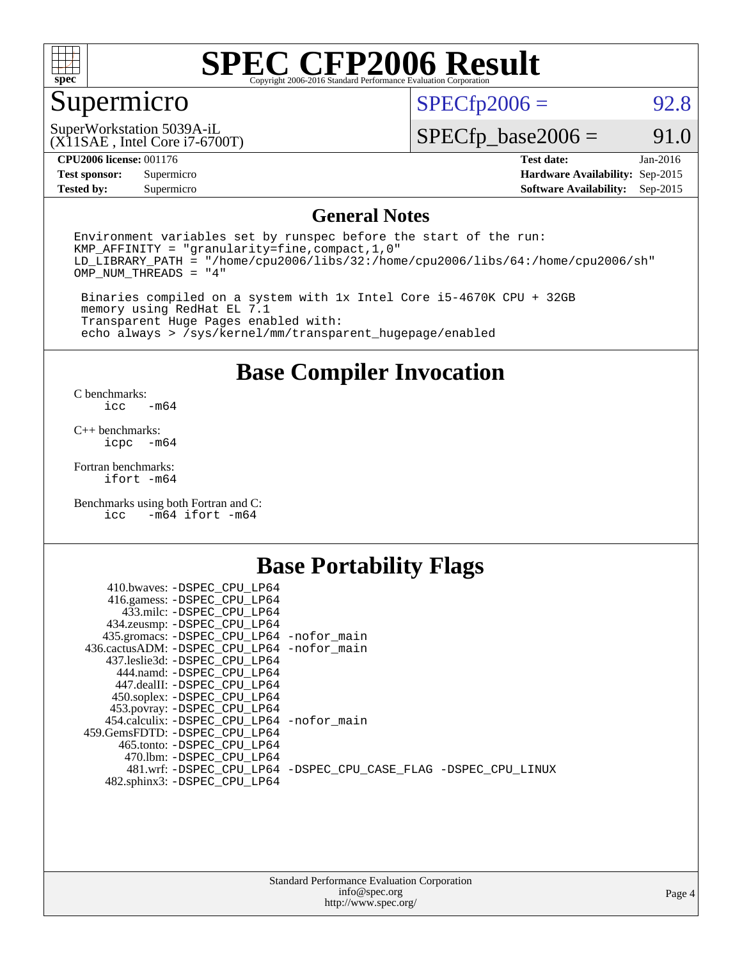

## Supermicro

 $SPECTp2006 = 92.8$ 

(X11SAE , Intel Core i7-6700T) SuperWorkstation 5039A-iL

 $SPECfp\_base2006 = 91.0$ 

#### **[CPU2006 license:](http://www.spec.org/auto/cpu2006/Docs/result-fields.html#CPU2006license)** 001176 **[Test date:](http://www.spec.org/auto/cpu2006/Docs/result-fields.html#Testdate)** Jan-2016

**[Test sponsor:](http://www.spec.org/auto/cpu2006/Docs/result-fields.html#Testsponsor)** Supermicro **[Hardware Availability:](http://www.spec.org/auto/cpu2006/Docs/result-fields.html#HardwareAvailability)** Sep-2015 **[Tested by:](http://www.spec.org/auto/cpu2006/Docs/result-fields.html#Testedby)** Supermicro **Supermicro [Software Availability:](http://www.spec.org/auto/cpu2006/Docs/result-fields.html#SoftwareAvailability)** Sep-2015

#### **[General Notes](http://www.spec.org/auto/cpu2006/Docs/result-fields.html#GeneralNotes)**

Environment variables set by runspec before the start of the run: KMP\_AFFINITY = "granularity=fine,compact,1,0" LD\_LIBRARY\_PATH = "/home/cpu2006/libs/32:/home/cpu2006/libs/64:/home/cpu2006/sh" OMP\_NUM\_THREADS = "4"

 Binaries compiled on a system with 1x Intel Core i5-4670K CPU + 32GB memory using RedHat EL 7.1 Transparent Huge Pages enabled with: echo always > /sys/kernel/mm/transparent\_hugepage/enabled

#### **[Base Compiler Invocation](http://www.spec.org/auto/cpu2006/Docs/result-fields.html#BaseCompilerInvocation)**

[C benchmarks](http://www.spec.org/auto/cpu2006/Docs/result-fields.html#Cbenchmarks):  $-m64$ 

[C++ benchmarks:](http://www.spec.org/auto/cpu2006/Docs/result-fields.html#CXXbenchmarks) [icpc -m64](http://www.spec.org/cpu2006/results/res2016q1/cpu2006-20160120-38751.flags.html#user_CXXbase_intel_icpc_64bit_bedb90c1146cab66620883ef4f41a67e)

[Fortran benchmarks](http://www.spec.org/auto/cpu2006/Docs/result-fields.html#Fortranbenchmarks): [ifort -m64](http://www.spec.org/cpu2006/results/res2016q1/cpu2006-20160120-38751.flags.html#user_FCbase_intel_ifort_64bit_ee9d0fb25645d0210d97eb0527dcc06e)

[Benchmarks using both Fortran and C](http://www.spec.org/auto/cpu2006/Docs/result-fields.html#BenchmarksusingbothFortranandC): [icc -m64](http://www.spec.org/cpu2006/results/res2016q1/cpu2006-20160120-38751.flags.html#user_CC_FCbase_intel_icc_64bit_0b7121f5ab7cfabee23d88897260401c) [ifort -m64](http://www.spec.org/cpu2006/results/res2016q1/cpu2006-20160120-38751.flags.html#user_CC_FCbase_intel_ifort_64bit_ee9d0fb25645d0210d97eb0527dcc06e)

### **[Base Portability Flags](http://www.spec.org/auto/cpu2006/Docs/result-fields.html#BasePortabilityFlags)**

| 410.bwaves: -DSPEC CPU LP64                 |                                                                |
|---------------------------------------------|----------------------------------------------------------------|
| 416.gamess: -DSPEC_CPU_LP64                 |                                                                |
| 433.milc: -DSPEC CPU LP64                   |                                                                |
| 434.zeusmp: -DSPEC_CPU_LP64                 |                                                                |
| 435.gromacs: -DSPEC_CPU_LP64 -nofor_main    |                                                                |
| 436.cactusADM: -DSPEC CPU LP64 -nofor main  |                                                                |
| 437.leslie3d: -DSPEC CPU LP64               |                                                                |
| 444.namd: -DSPEC CPU LP64                   |                                                                |
| 447.dealII: -DSPEC CPU LP64                 |                                                                |
| 450.soplex: -DSPEC_CPU_LP64                 |                                                                |
| 453.povray: -DSPEC_CPU_LP64                 |                                                                |
| 454.calculix: - DSPEC CPU LP64 - nofor main |                                                                |
| 459. GemsFDTD: - DSPEC CPU LP64             |                                                                |
| 465.tonto: - DSPEC CPU LP64                 |                                                                |
| 470.1bm: - DSPEC CPU LP64                   |                                                                |
|                                             | 481.wrf: -DSPEC_CPU_LP64 -DSPEC_CPU_CASE_FLAG -DSPEC_CPU_LINUX |
| 482.sphinx3: -DSPEC_CPU_LP64                |                                                                |
|                                             |                                                                |

| <b>Standard Performance Evaluation Corporation</b> |
|----------------------------------------------------|
| info@spec.org                                      |
| http://www.spec.org/                               |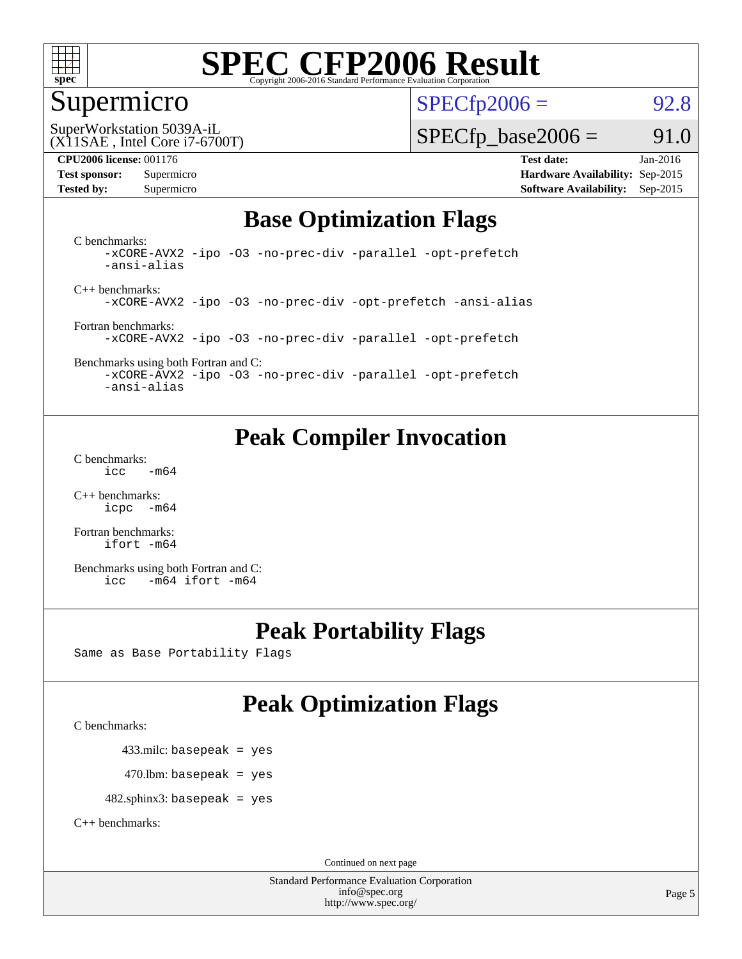

#### Supermicro

 $SPECTp2006 = 92.8$ 

(X11SAE , Intel Core i7-6700T) SuperWorkstation 5039A-iL

 $SPECTp\_base2006 = 91.0$ 

**[CPU2006 license:](http://www.spec.org/auto/cpu2006/Docs/result-fields.html#CPU2006license)** 001176 **[Test date:](http://www.spec.org/auto/cpu2006/Docs/result-fields.html#Testdate)** Jan-2016 **[Test sponsor:](http://www.spec.org/auto/cpu2006/Docs/result-fields.html#Testsponsor)** Supermicro **[Hardware Availability:](http://www.spec.org/auto/cpu2006/Docs/result-fields.html#HardwareAvailability)** Sep-2015 **[Tested by:](http://www.spec.org/auto/cpu2006/Docs/result-fields.html#Testedby)** Supermicro **Supermicro [Software Availability:](http://www.spec.org/auto/cpu2006/Docs/result-fields.html#SoftwareAvailability)** Sep-2015

### **[Base Optimization Flags](http://www.spec.org/auto/cpu2006/Docs/result-fields.html#BaseOptimizationFlags)**

[C benchmarks](http://www.spec.org/auto/cpu2006/Docs/result-fields.html#Cbenchmarks): [-xCORE-AVX2](http://www.spec.org/cpu2006/results/res2016q1/cpu2006-20160120-38751.flags.html#user_CCbase_f-xAVX2_5f5fc0cbe2c9f62c816d3e45806c70d7) [-ipo](http://www.spec.org/cpu2006/results/res2016q1/cpu2006-20160120-38751.flags.html#user_CCbase_f-ipo) [-O3](http://www.spec.org/cpu2006/results/res2016q1/cpu2006-20160120-38751.flags.html#user_CCbase_f-O3) [-no-prec-div](http://www.spec.org/cpu2006/results/res2016q1/cpu2006-20160120-38751.flags.html#user_CCbase_f-no-prec-div) [-parallel](http://www.spec.org/cpu2006/results/res2016q1/cpu2006-20160120-38751.flags.html#user_CCbase_f-parallel) [-opt-prefetch](http://www.spec.org/cpu2006/results/res2016q1/cpu2006-20160120-38751.flags.html#user_CCbase_f-opt-prefetch) [-ansi-alias](http://www.spec.org/cpu2006/results/res2016q1/cpu2006-20160120-38751.flags.html#user_CCbase_f-ansi-alias)

[C++ benchmarks:](http://www.spec.org/auto/cpu2006/Docs/result-fields.html#CXXbenchmarks) [-xCORE-AVX2](http://www.spec.org/cpu2006/results/res2016q1/cpu2006-20160120-38751.flags.html#user_CXXbase_f-xAVX2_5f5fc0cbe2c9f62c816d3e45806c70d7) [-ipo](http://www.spec.org/cpu2006/results/res2016q1/cpu2006-20160120-38751.flags.html#user_CXXbase_f-ipo) [-O3](http://www.spec.org/cpu2006/results/res2016q1/cpu2006-20160120-38751.flags.html#user_CXXbase_f-O3) [-no-prec-div](http://www.spec.org/cpu2006/results/res2016q1/cpu2006-20160120-38751.flags.html#user_CXXbase_f-no-prec-div) [-opt-prefetch](http://www.spec.org/cpu2006/results/res2016q1/cpu2006-20160120-38751.flags.html#user_CXXbase_f-opt-prefetch) [-ansi-alias](http://www.spec.org/cpu2006/results/res2016q1/cpu2006-20160120-38751.flags.html#user_CXXbase_f-ansi-alias)

[Fortran benchmarks](http://www.spec.org/auto/cpu2006/Docs/result-fields.html#Fortranbenchmarks): [-xCORE-AVX2](http://www.spec.org/cpu2006/results/res2016q1/cpu2006-20160120-38751.flags.html#user_FCbase_f-xAVX2_5f5fc0cbe2c9f62c816d3e45806c70d7) [-ipo](http://www.spec.org/cpu2006/results/res2016q1/cpu2006-20160120-38751.flags.html#user_FCbase_f-ipo) [-O3](http://www.spec.org/cpu2006/results/res2016q1/cpu2006-20160120-38751.flags.html#user_FCbase_f-O3) [-no-prec-div](http://www.spec.org/cpu2006/results/res2016q1/cpu2006-20160120-38751.flags.html#user_FCbase_f-no-prec-div) [-parallel](http://www.spec.org/cpu2006/results/res2016q1/cpu2006-20160120-38751.flags.html#user_FCbase_f-parallel) [-opt-prefetch](http://www.spec.org/cpu2006/results/res2016q1/cpu2006-20160120-38751.flags.html#user_FCbase_f-opt-prefetch)

[Benchmarks using both Fortran and C](http://www.spec.org/auto/cpu2006/Docs/result-fields.html#BenchmarksusingbothFortranandC): [-xCORE-AVX2](http://www.spec.org/cpu2006/results/res2016q1/cpu2006-20160120-38751.flags.html#user_CC_FCbase_f-xAVX2_5f5fc0cbe2c9f62c816d3e45806c70d7) [-ipo](http://www.spec.org/cpu2006/results/res2016q1/cpu2006-20160120-38751.flags.html#user_CC_FCbase_f-ipo) [-O3](http://www.spec.org/cpu2006/results/res2016q1/cpu2006-20160120-38751.flags.html#user_CC_FCbase_f-O3) [-no-prec-div](http://www.spec.org/cpu2006/results/res2016q1/cpu2006-20160120-38751.flags.html#user_CC_FCbase_f-no-prec-div) [-parallel](http://www.spec.org/cpu2006/results/res2016q1/cpu2006-20160120-38751.flags.html#user_CC_FCbase_f-parallel) [-opt-prefetch](http://www.spec.org/cpu2006/results/res2016q1/cpu2006-20160120-38751.flags.html#user_CC_FCbase_f-opt-prefetch)

[-ansi-alias](http://www.spec.org/cpu2006/results/res2016q1/cpu2006-20160120-38751.flags.html#user_CC_FCbase_f-ansi-alias)

### **[Peak Compiler Invocation](http://www.spec.org/auto/cpu2006/Docs/result-fields.html#PeakCompilerInvocation)**

[C benchmarks](http://www.spec.org/auto/cpu2006/Docs/result-fields.html#Cbenchmarks):  $\text{icc}$   $-\text{m64}$ 

[C++ benchmarks:](http://www.spec.org/auto/cpu2006/Docs/result-fields.html#CXXbenchmarks) [icpc -m64](http://www.spec.org/cpu2006/results/res2016q1/cpu2006-20160120-38751.flags.html#user_CXXpeak_intel_icpc_64bit_bedb90c1146cab66620883ef4f41a67e)

[Fortran benchmarks](http://www.spec.org/auto/cpu2006/Docs/result-fields.html#Fortranbenchmarks): [ifort -m64](http://www.spec.org/cpu2006/results/res2016q1/cpu2006-20160120-38751.flags.html#user_FCpeak_intel_ifort_64bit_ee9d0fb25645d0210d97eb0527dcc06e)

[Benchmarks using both Fortran and C](http://www.spec.org/auto/cpu2006/Docs/result-fields.html#BenchmarksusingbothFortranandC): [icc -m64](http://www.spec.org/cpu2006/results/res2016q1/cpu2006-20160120-38751.flags.html#user_CC_FCpeak_intel_icc_64bit_0b7121f5ab7cfabee23d88897260401c) [ifort -m64](http://www.spec.org/cpu2006/results/res2016q1/cpu2006-20160120-38751.flags.html#user_CC_FCpeak_intel_ifort_64bit_ee9d0fb25645d0210d97eb0527dcc06e)

### **[Peak Portability Flags](http://www.spec.org/auto/cpu2006/Docs/result-fields.html#PeakPortabilityFlags)**

Same as Base Portability Flags

## **[Peak Optimization Flags](http://www.spec.org/auto/cpu2006/Docs/result-fields.html#PeakOptimizationFlags)**

[C benchmarks](http://www.spec.org/auto/cpu2006/Docs/result-fields.html#Cbenchmarks):

433.milc: basepeak = yes

 $470.$ lbm: basepeak = yes

482.sphinx3: basepeak = yes

[C++ benchmarks:](http://www.spec.org/auto/cpu2006/Docs/result-fields.html#CXXbenchmarks)

Continued on next page

Standard Performance Evaluation Corporation [info@spec.org](mailto:info@spec.org) <http://www.spec.org/>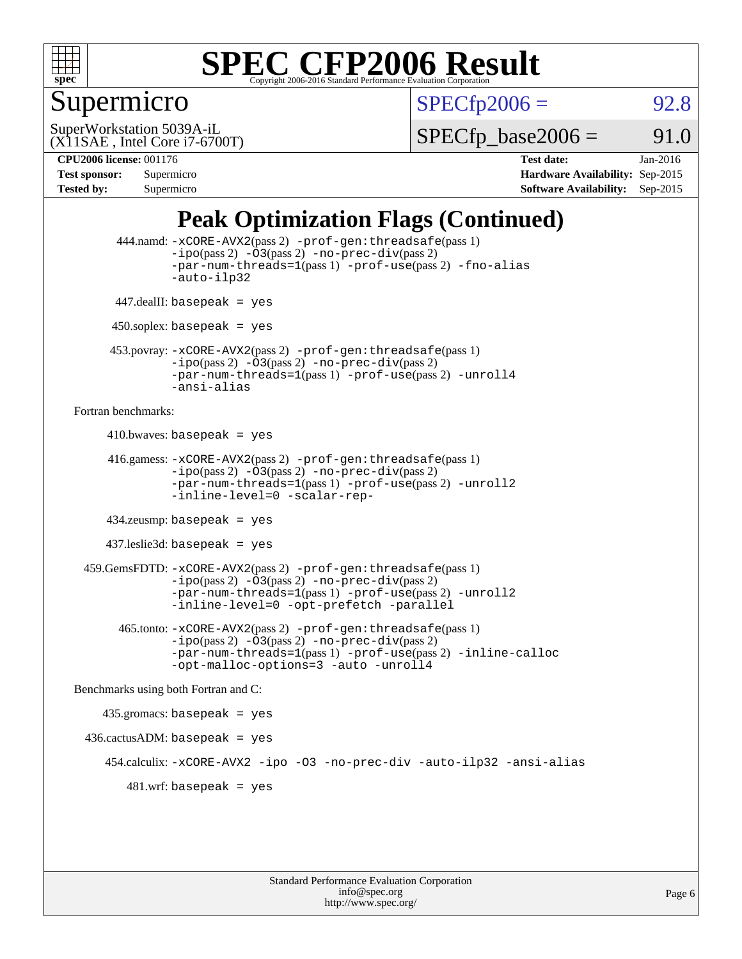

## Supermicro

 $SPECTp2006 = 92.8$ 

(X11SAE , Intel Core i7-6700T) SuperWorkstation 5039A-iL

 $SPECTp\_base2006 = 91.0$ 

**[CPU2006 license:](http://www.spec.org/auto/cpu2006/Docs/result-fields.html#CPU2006license)** 001176 **[Test date:](http://www.spec.org/auto/cpu2006/Docs/result-fields.html#Testdate)** Jan-2016 **[Test sponsor:](http://www.spec.org/auto/cpu2006/Docs/result-fields.html#Testsponsor)** Supermicro **[Hardware Availability:](http://www.spec.org/auto/cpu2006/Docs/result-fields.html#HardwareAvailability)** Sep-2015 **[Tested by:](http://www.spec.org/auto/cpu2006/Docs/result-fields.html#Testedby)** Supermicro **Supermicro [Software Availability:](http://www.spec.org/auto/cpu2006/Docs/result-fields.html#SoftwareAvailability)** Sep-2015

## **[Peak Optimization Flags \(Continued\)](http://www.spec.org/auto/cpu2006/Docs/result-fields.html#PeakOptimizationFlags)**

```
 444.namd: -xCORE-AVX2(pass 2) -prof-gen:threadsafe(pass 1)
               -ipo(pass 2) -03(pass 2) -no-prec-div(pass 2)
               -par-num-threads=1(pass 1) -prof-use(pass 2) -fno-alias
               -auto-ilp32
      447.dealII: basepeak = yes
      450.soplex: basepeak = yes
      453.povray: -xCORE-AVX2(pass 2) -prof-gen:threadsafe(pass 1)
               -no-prec-div(pass 2)-par-num-threads=1(pass 1) -prof-use(pass 2) -unroll4
               -ansi-alias
Fortran benchmarks: 
     410.bwaves: basepeak = yes 416.gamess: -xCORE-AVX2(pass 2) -prof-gen:threadsafe(pass 1)
               -ipo(pass 2) -03(pass 2) -no-prec-div(pass 2)-par-num-threads=1(pass 1) -prof-use(pass 2) -unroll2
               -inline-level=0 -scalar-rep-
      434.zeusmp: basepeak = yes
     437.leslie3d: basepeak = yes
  459.GemsFDTD: -xCORE-AVX2(pass 2) -prof-gen:threadsafe(pass 1)
               -i\text{po}(pass 2) -\tilde{O}3(pass 2)-no-prec-div(pass 2)
               -par-num-threads=1(pass 1) -prof-use(pass 2) -unroll2
               -inline-level=0 -opt-prefetch -parallel
        465.tonto: -xCORE-AVX2(pass 2) -prof-gen:threadsafe(pass 1)
               -no-prec-div(pass 2)-par-num-threads=1(pass 1) -prof-use(pass 2) -inline-calloc
               -opt-malloc-options=3 -auto -unroll4
Benchmarks using both Fortran and C: 
     435.gromacs: basepeak = yes
 436.cactusADM:basepeak = yes 454.calculix: -xCORE-AVX2 -ipo -O3 -no-prec-div -auto-ilp32 -ansi-alias
        481.wrf: basepeak = yes
```